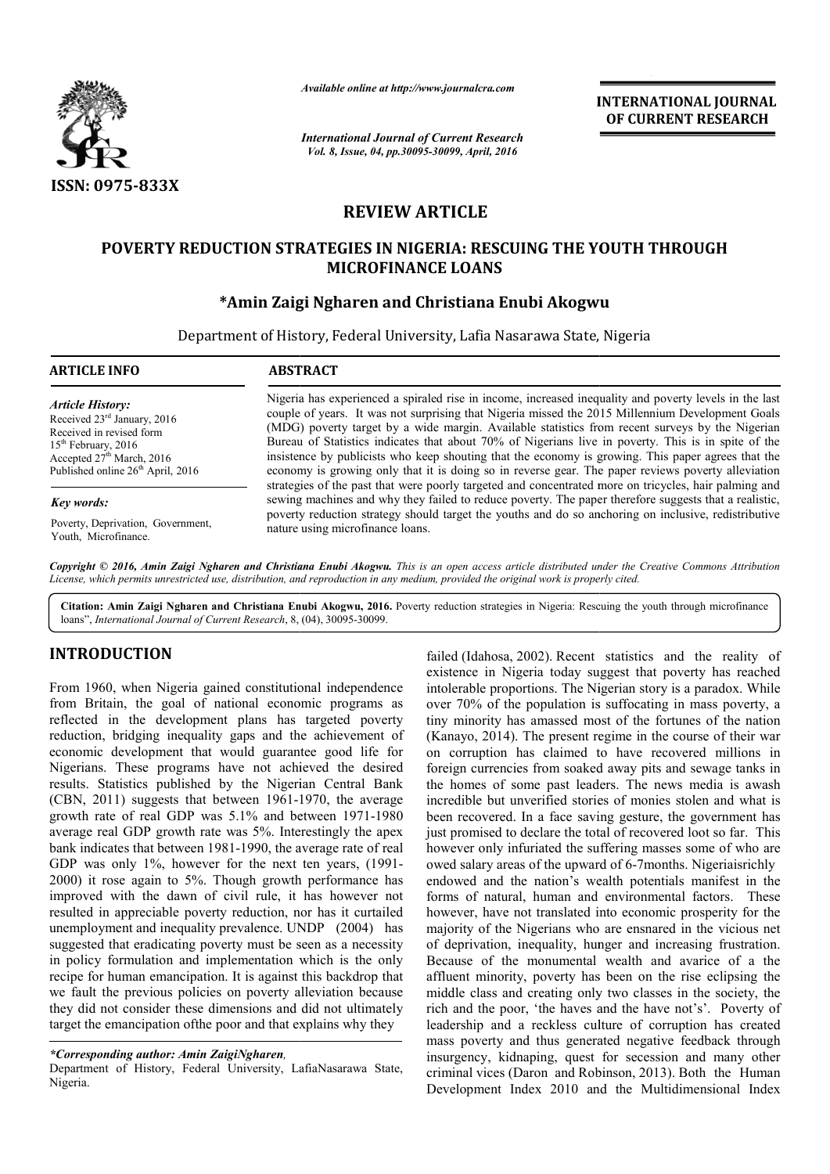

*Available online at http://www.journalcra.com*

*International Journal of Current Research Vol. 8, Issue, 04, pp.30095-30099, April, 2016*

**INTERNATIONAL JOURNAL OF CURRENT RESEARCH** 

# **REVIEW ARTICLE**

## **POVERTY REDUCTION STRATEGIES IN NIGERIA: RESCUING THE YOUTH THROUGH NIGERIA: RESCUING MICROFINANCE LOANS**

## **\*Amin Zaigi Ngharen and Christiana Enubi Amin Akogwu**

Department of History, Federal University, Lafia Nasarawa State, Nigeria State,

| <b>ARTICLE INFO</b>                                                                                                                                                                                                                                                     | <b>ABSTRACT</b>                                                                                                                                                                                                                                                                                                                                                                                                                                                                                                                                                                                                                                                                                                                                                                                                                                                                                                                                                                                |
|-------------------------------------------------------------------------------------------------------------------------------------------------------------------------------------------------------------------------------------------------------------------------|------------------------------------------------------------------------------------------------------------------------------------------------------------------------------------------------------------------------------------------------------------------------------------------------------------------------------------------------------------------------------------------------------------------------------------------------------------------------------------------------------------------------------------------------------------------------------------------------------------------------------------------------------------------------------------------------------------------------------------------------------------------------------------------------------------------------------------------------------------------------------------------------------------------------------------------------------------------------------------------------|
| <b>Article History:</b><br>Received 23rd January, 2016<br>Received in revised form<br>$15th$ February, 2016<br>Accepted $27th March$ , 2016<br>Published online 26 <sup>th</sup> April, 2016<br>Key words:<br>Poverty, Deprivation, Government,<br>Youth, Microfinance. | Nigeria has experienced a spiraled rise in income, increased inequality and poverty levels in the last<br>couple of years. It was not surprising that Nigeria missed the 2015 Millennium Development Goals<br>(MDG) poverty target by a wide margin. Available statistics from recent surveys by the Nigerian<br>Bureau of Statistics indicates that about 70% of Nigerians live in poverty. This is in spite of the<br>insistence by publicists who keep shouting that the economy is growing. This paper agrees that the<br>economy is growing only that it is doing so in reverse gear. The paper reviews poverty alleviation<br>strategies of the past that were poorly targeted and concentrated more on tricycles, hair palming and<br>sewing machines and why they failed to reduce poverty. The paper therefore suggests that a realistic,<br>poverty reduction strategy should target the youths and do so anchoring on inclusive, redistributive<br>nature using microfinance loans. |

*Copyright © 2016, Amin Zaigi Ngharen and Christiana Enubi Akogwu Akogwu. This is an open access article distributed under the Creative is an open distributed Commons Attribution License, which permits unrestricted use, distribution, and reproduction in any medium, provided the original work is properly cited. use, in medium, cited.*

Citation: Amin Zaigi Ngharen and Christiana Enubi Akogwu, 2016. Poverty reduction strategies in Nigeria: Rescuing the youth through microfinance loans", *International Journal of Current Research*, 8, (04), 30095-30099.

# **INTRODUCTION**

From 1960, when Nigeria gained constitutional independence from Britain, the goal of national economic programs as reflected in the development plans has targeted poverty reduction, bridging inequality gaps and the achievement of economic development that would guarantee good life for Nigerians. These programs have not achieved the desired results. Statistics published by the Nigerian Central Bank (CBN, 2011) suggests that between 1961-1970, the average (CBN, 2011) suggests that between 1961-1970, the average<br>growth rate of real GDP was 5.1% and between 1971-1980 average real GDP growth rate was 5%. Interestingly the apex bank indicates that between 1981-1990, the average rate of real bank indicates that between 1981-1990, the average rate of real GDP was only 1%, however for the next ten years, (1991-2000) it rose again to 5%. Though growth performance has improved with the dawn of civil rule, it has however not resulted in appreciable poverty reduction, nor has it curtailed unemployment and inequality prevalence. UNDP (2004) has suggested that eradicating poverty must be seen as a necessity in policy formulation and implementation which is the only recipe for human emancipation. It is against this backdrop that we fault the previous policies on poverty alleviation because they did not consider these dimensions and did not ultimately target the emancipation ofthe poor and that explains why they

failed (Idahosa, 2002). Recent statistics and the reality of existence in Nigeria to existence in Nigeria to pare into the inclusive statistical of national economic programs as over 70% of the population is sufficeding in failed (Idahosa, 2002). Recent statistics and the reality of existence in Nigeria today suggest that poverty has reached intolerable proportions. The Nigerian story is a paradox. While over 70% of the population is suffocating in mass poverty, a tiny minority has amassed most of the fortunes of the nation (Kanayo, 2014). The present regime in the course of their war on corruption has claimed to have recovered millions in foreign currencies from soaked away pits and sewage tanks in the homes of some past leaders. The news media is awash incredible but unverified stories of monies stolen and what is been recovered. In a face saving gesture, the government has just promised to declare the total of recovered loot so far. This however only infuriated the suffering masses some of who are owed salary areas of the upward of 6-7 months. Nigeriaisrichly endowed and the nation's wealth potentials manifest in the forms of natural, human and environmental factors. These endowed and the nation's wealth potentials manifest in the forms of natural, human and environmental factors. These however, have not translated into economic prosperity for the majority of the Nigerians who are ensnared in the vicious net majority of the Nigerians who are ensnared in the vicious net of deprivation, inequality, hunger and increasing frustration. Because of the monumental wealth and avarice of a the affluent minority, poverty has been on the rise eclipsing the middle class and creating only two classes in the society, the rich and the poor, 'the haves and the have not's'. Poverty of leadership and a reckless culture of corruption has created mass poverty and thus generated negative feedback through insurgency, kidnaping, quest for secession and many other leadership and a reckless culture of corruption has created mass poverty and thus generated negative feedback through insurgency, kidnaping, quest for secession and many other criminal vices (Daron and Robinson, 2013). Bot Development Index 2010 and the Multidimensional Index intolerable proportions. The Nigerian story is a paradox. While<br>over 70% of the population is suffocating in mass poverty, a<br>tiny minority has amassed most of the fortunes of the natior<br>(Kanayo, 2014). The present regime i Because of the monumental wealth and avarice of a the affluent minority, poverty has been on the rise eclipsing the middle class and creating only two classes in the society, the rich and the poor, 'the haves and the have INTERNATIONAL JOURNAL<br>
OF CURRENT RESEARCH<br>
OF CURRENT RESEARCH<br>
2016<br>
2016<br>
2016<br>
2016<br>
2016<br>
2016<br>
2016<br>
2016<br>
2016<br>
2016<br>
2018<br>
2018 the Multidimin Development Consider<br>
30<br>
2018 Masarawa State, Nigeria<br>
2018<br>
2018 Wass

*<sup>\*</sup>Corresponding author: Amin ZaigiNgharen,*

Department of History, Federal University, LafiaNasarawa State, Nigeria.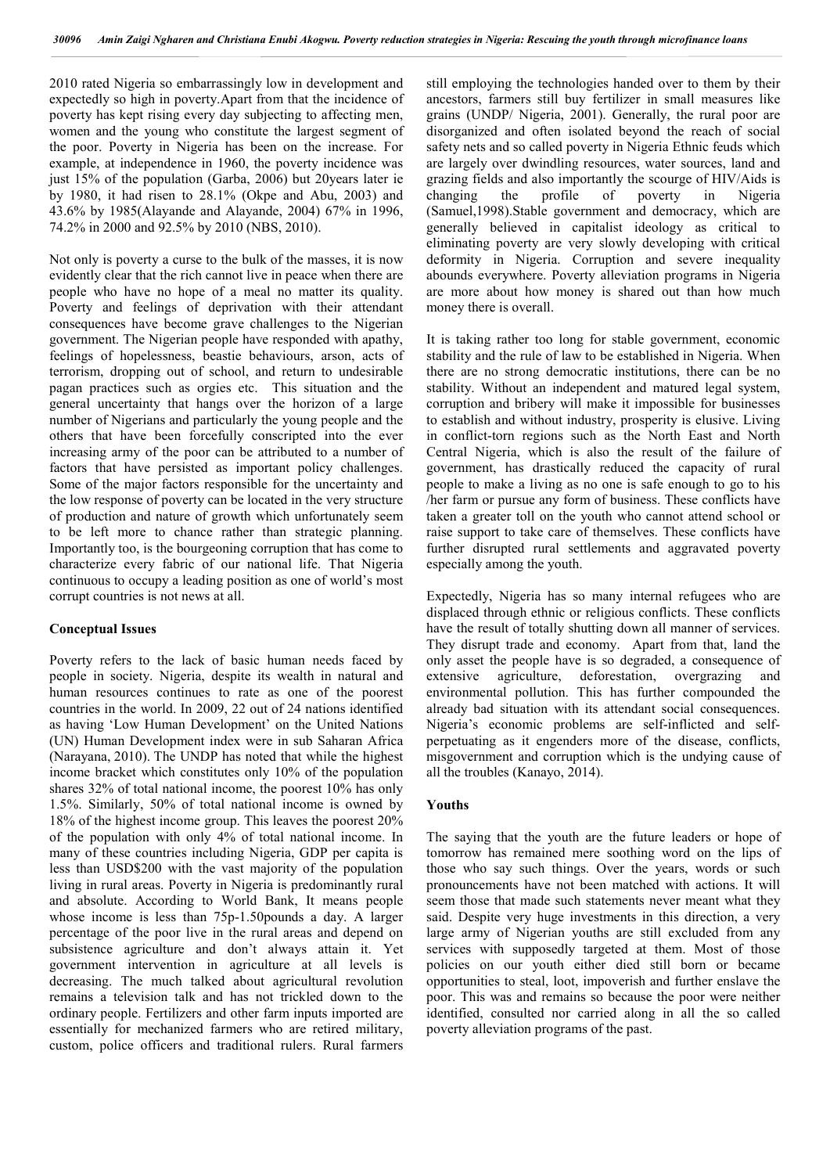2010 rated Nigeria so embarrassingly low in development and expectedly so high in poverty.Apart from that the incidence of poverty has kept rising every day subjecting to affecting men, women and the young who constitute the largest segment of the poor. Poverty in Nigeria has been on the increase. For example, at independence in 1960, the poverty incidence was just 15% of the population (Garba, 2006) but 20years later ie by 1980, it had risen to 28.1% (Okpe and Abu, 2003) and 43.6% by 1985(Alayande and Alayande, 2004) 67% in 1996, 74.2% in 2000 and 92.5% by 2010 (NBS, 2010).

Not only is poverty a curse to the bulk of the masses, it is now evidently clear that the rich cannot live in peace when there are people who have no hope of a meal no matter its quality. Poverty and feelings of deprivation with their attendant consequences have become grave challenges to the Nigerian government. The Nigerian people have responded with apathy, feelings of hopelessness, beastie behaviours, arson, acts of terrorism, dropping out of school, and return to undesirable pagan practices such as orgies etc. This situation and the general uncertainty that hangs over the horizon of a large number of Nigerians and particularly the young people and the others that have been forcefully conscripted into the ever increasing army of the poor can be attributed to a number of factors that have persisted as important policy challenges. Some of the major factors responsible for the uncertainty and the low response of poverty can be located in the very structure of production and nature of growth which unfortunately seem to be left more to chance rather than strategic planning. Importantly too, is the bourgeoning corruption that has come to characterize every fabric of our national life. That Nigeria continuous to occupy a leading position as one of world's most corrupt countries is not news at all.

#### **Conceptual Issues**

Poverty refers to the lack of basic human needs faced by people in society. Nigeria, despite its wealth in natural and human resources continues to rate as one of the poorest countries in the world. In 2009, 22 out of 24 nations identified as having 'Low Human Development' on the United Nations (UN) Human Development index were in sub Saharan Africa (Narayana, 2010). The UNDP has noted that while the highest income bracket which constitutes only 10% of the population shares 32% of total national income, the poorest 10% has only 1.5%. Similarly, 50% of total national income is owned by 18% of the highest income group. This leaves the poorest 20% of the population with only 4% of total national income. In many of these countries including Nigeria, GDP per capita is less than USD\$200 with the vast majority of the population living in rural areas. Poverty in Nigeria is predominantly rural and absolute. According to World Bank, It means people whose income is less than 75p-1.50pounds a day. A larger percentage of the poor live in the rural areas and depend on subsistence agriculture and don't always attain it. Yet government intervention in agriculture at all levels is decreasing. The much talked about agricultural revolution remains a television talk and has not trickled down to the ordinary people. Fertilizers and other farm inputs imported are essentially for mechanized farmers who are retired military, custom, police officers and traditional rulers. Rural farmers still employing the technologies handed over to them by their ancestors, farmers still buy fertilizer in small measures like grains (UNDP/ Nigeria, 2001). Generally, the rural poor are disorganized and often isolated beyond the reach of social safety nets and so called poverty in Nigeria Ethnic feuds which are largely over dwindling resources, water sources, land and grazing fields and also importantly the scourge of HIV/Aids is changing the profile of poverty in Nigeria (Samuel,1998).Stable government and democracy, which are generally believed in capitalist ideology as critical to eliminating poverty are very slowly developing with critical deformity in Nigeria. Corruption and severe inequality abounds everywhere. Poverty alleviation programs in Nigeria are more about how money is shared out than how much money there is overall.

It is taking rather too long for stable government, economic stability and the rule of law to be established in Nigeria. When there are no strong democratic institutions, there can be no stability. Without an independent and matured legal system, corruption and bribery will make it impossible for businesses to establish and without industry, prosperity is elusive. Living in conflict-torn regions such as the North East and North Central Nigeria, which is also the result of the failure of government, has drastically reduced the capacity of rural people to make a living as no one is safe enough to go to his /her farm or pursue any form of business. These conflicts have taken a greater toll on the youth who cannot attend school or raise support to take care of themselves. These conflicts have further disrupted rural settlements and aggravated poverty especially among the youth.

Expectedly, Nigeria has so many internal refugees who are displaced through ethnic or religious conflicts. These conflicts have the result of totally shutting down all manner of services. They disrupt trade and economy. Apart from that, land the only asset the people have is so degraded, a consequence of extensive agriculture, deforestation, overgrazing and environmental pollution. This has further compounded the already bad situation with its attendant social consequences. Nigeria's economic problems are self-inflicted and selfperpetuating as it engenders more of the disease, conflicts, misgovernment and corruption which is the undying cause of all the troubles (Kanayo, 2014).

#### **Youths**

The saying that the youth are the future leaders or hope of tomorrow has remained mere soothing word on the lips of those who say such things. Over the years, words or such pronouncements have not been matched with actions. It will seem those that made such statements never meant what they said. Despite very huge investments in this direction, a very large army of Nigerian youths are still excluded from any services with supposedly targeted at them. Most of those policies on our youth either died still born or became opportunities to steal, loot, impoverish and further enslave the poor. This was and remains so because the poor were neither identified, consulted nor carried along in all the so called poverty alleviation programs of the past.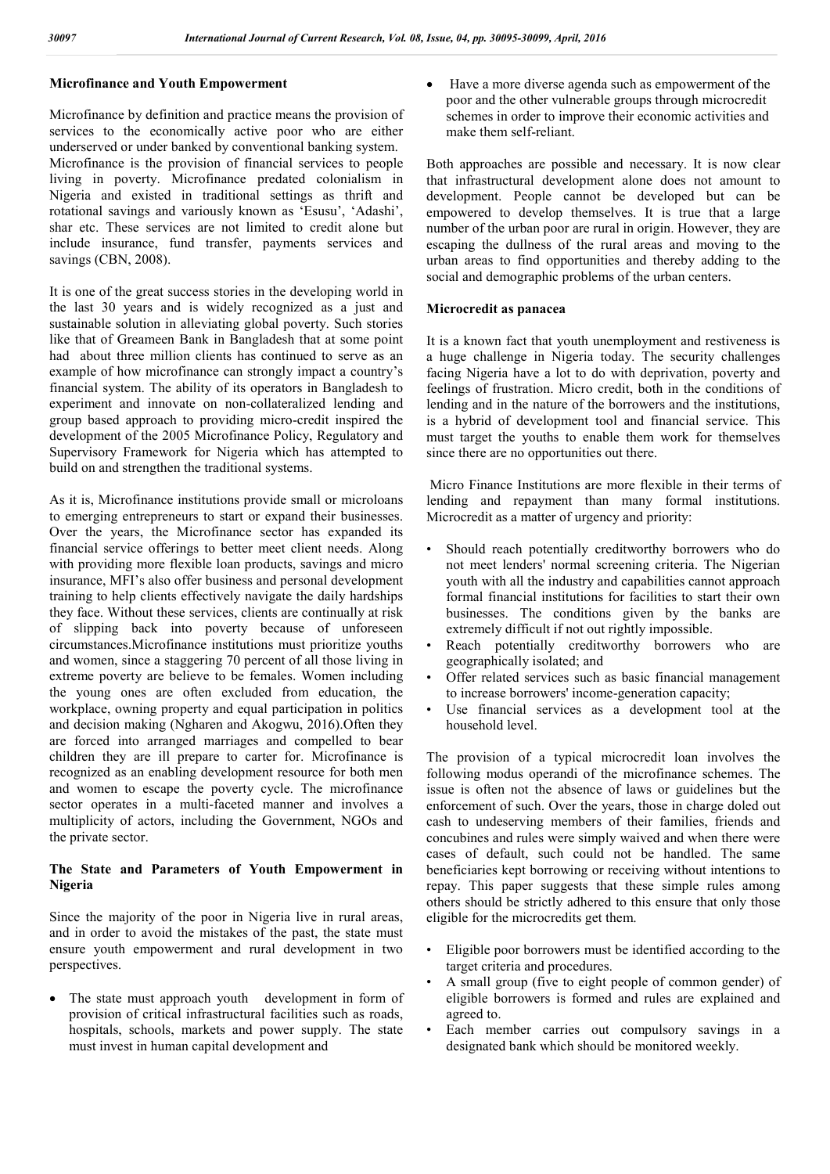## **Microfinance and Youth Empowerment**

Microfinance by definition and practice means the provision of services to the economically active poor who are either underserved or under banked by conventional banking system. Microfinance is the provision of financial services to people living in poverty. Microfinance predated colonialism in Nigeria and existed in traditional settings as thrift and rotational savings and variously known as 'Esusu', 'Adashi', shar etc. These services are not limited to credit alone but include insurance, fund transfer, payments services and savings (CBN, 2008).

It is one of the great success stories in the developing world in the last 30 years and is widely recognized as a just and sustainable solution in alleviating global poverty. Such stories like that of Greameen Bank in Bangladesh that at some point had about three million clients has continued to serve as an example of how microfinance can strongly impact a country's financial system. The ability of its operators in Bangladesh to experiment and innovate on non-collateralized lending and group based approach to providing micro-credit inspired the development of the 2005 Microfinance Policy, Regulatory and Supervisory Framework for Nigeria which has attempted to build on and strengthen the traditional systems.

As it is, Microfinance institutions provide small or microloans to emerging entrepreneurs to start or expand their businesses. Over the years, the Microfinance sector has expanded its financial service offerings to better meet client needs. Along with providing more flexible loan products, savings and micro insurance, MFI's also offer business and personal development training to help clients effectively navigate the daily hardships they face. Without these services, clients are continually at risk of slipping back into poverty because of unforeseen circumstances.Microfinance institutions must prioritize youths and women, since a staggering 70 percent of all those living in extreme poverty are believe to be females. Women including the young ones are often excluded from education, the workplace, owning property and equal participation in politics and decision making (Ngharen and Akogwu, 2016).Often they are forced into arranged marriages and compelled to bear children they are ill prepare to carter for. Microfinance is recognized as an enabling development resource for both men and women to escape the poverty cycle. The microfinance sector operates in a multi-faceted manner and involves a multiplicity of actors, including the Government, NGOs and the private sector.

### **The State and Parameters of Youth Empowerment in Nigeria**

Since the majority of the poor in Nigeria live in rural areas, and in order to avoid the mistakes of the past, the state must ensure youth empowerment and rural development in two perspectives.

 The state must approach youth development in form of provision of critical infrastructural facilities such as roads, hospitals, schools, markets and power supply. The state must invest in human capital development and

 Have a more diverse agenda such as empowerment of the poor and the other vulnerable groups through microcredit schemes in order to improve their economic activities and make them self-reliant.

Both approaches are possible and necessary. It is now clear that infrastructural development alone does not amount to development. People cannot be developed but can be empowered to develop themselves. It is true that a large number of the urban poor are rural in origin. However, they are escaping the dullness of the rural areas and moving to the urban areas to find opportunities and thereby adding to the social and demographic problems of the urban centers.

#### **Microcredit as panacea**

It is a known fact that youth unemployment and restiveness is a huge challenge in Nigeria today. The security challenges facing Nigeria have a lot to do with deprivation, poverty and feelings of frustration. Micro credit, both in the conditions of lending and in the nature of the borrowers and the institutions, is a hybrid of development tool and financial service. This must target the youths to enable them work for themselves since there are no opportunities out there.

Micro Finance Institutions are more flexible in their terms of lending and repayment than many formal institutions. Microcredit as a matter of urgency and priority:

- Should reach potentially creditworthy borrowers who do not meet lenders' normal screening criteria. The Nigerian youth with all the industry and capabilities cannot approach formal financial institutions for facilities to start their own businesses. The conditions given by the banks are extremely difficult if not out rightly impossible.
- Reach potentially creditworthy borrowers who are geographically isolated; and
- Offer related services such as basic financial management to increase borrowers' income-generation capacity;
- Use financial services as a development tool at the household level.

The provision of a typical microcredit loan involves the following modus operandi of the microfinance schemes. The issue is often not the absence of laws or guidelines but the enforcement of such. Over the years, those in charge doled out cash to undeserving members of their families, friends and concubines and rules were simply waived and when there were cases of default, such could not be handled. The same beneficiaries kept borrowing or receiving without intentions to repay. This paper suggests that these simple rules among others should be strictly adhered to this ensure that only those eligible for the microcredits get them.

- Eligible poor borrowers must be identified according to the target criteria and procedures.
- A small group (five to eight people of common gender) of eligible borrowers is formed and rules are explained and agreed to.
- Each member carries out compulsory savings in a designated bank which should be monitored weekly.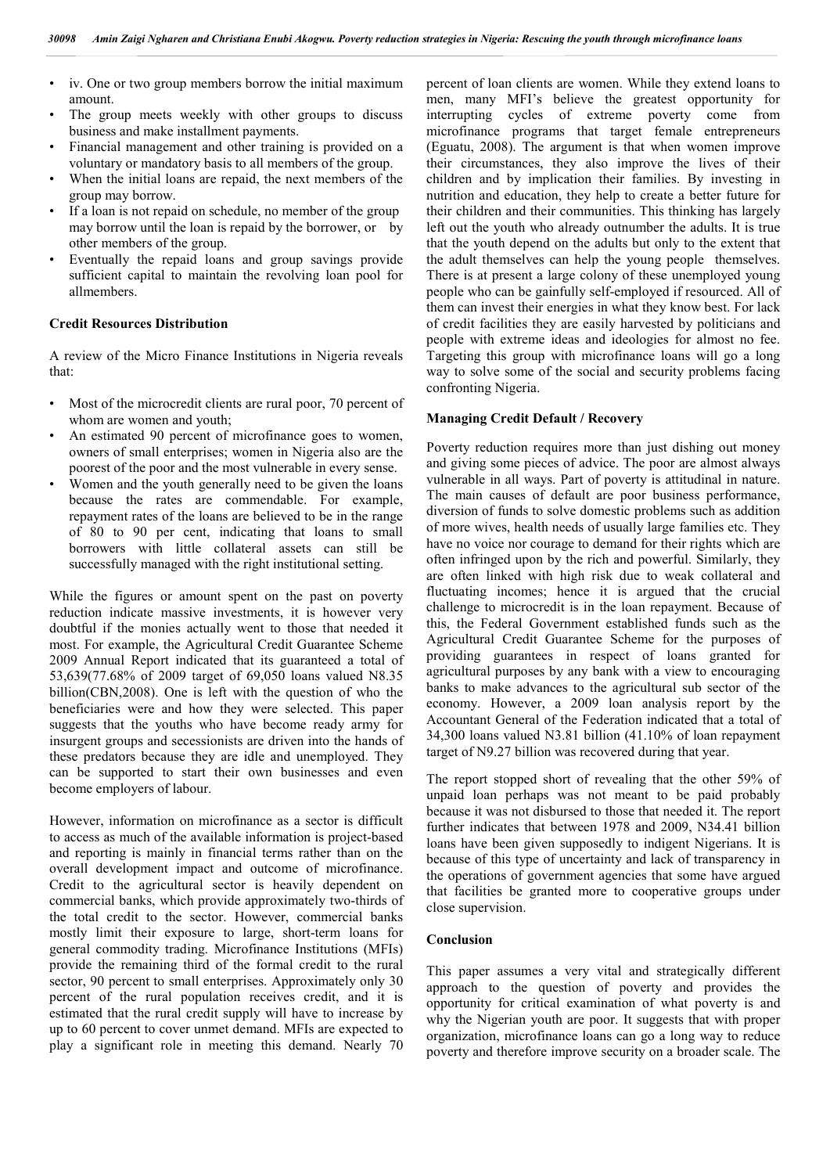- iv. One or two group members borrow the initial maximum amount.
- The group meets weekly with other groups to discuss business and make installment payments.
- Financial management and other training is provided on a voluntary or mandatory basis to all members of the group.
- When the initial loans are repaid, the next members of the group may borrow.
- If a loan is not repaid on schedule, no member of the group may borrow until the loan is repaid by the borrower, or by other members of the group.
- Eventually the repaid loans and group savings provide sufficient capital to maintain the revolving loan pool for allmembers.

#### **Credit Resources Distribution**

A review of the Micro Finance Institutions in Nigeria reveals that:

- Most of the microcredit clients are rural poor, 70 percent of whom are women and youth;
- An estimated 90 percent of microfinance goes to women, owners of small enterprises; women in Nigeria also are the poorest of the poor and the most vulnerable in every sense.
- Women and the youth generally need to be given the loans because the rates are commendable. For example, repayment rates of the loans are believed to be in the range of 80 to 90 per cent, indicating that loans to small borrowers with little collateral assets can still be successfully managed with the right institutional setting.

While the figures or amount spent on the past on poverty reduction indicate massive investments, it is however very doubtful if the monies actually went to those that needed it most. For example, the Agricultural Credit Guarantee Scheme 2009 Annual Report indicated that its guaranteed a total of 53,639(77.68% of 2009 target of 69,050 loans valued N8.35 billion(CBN,2008). One is left with the question of who the beneficiaries were and how they were selected. This paper suggests that the youths who have become ready army for insurgent groups and secessionists are driven into the hands of these predators because they are idle and unemployed. They can be supported to start their own businesses and even become employers of labour.

However, information on microfinance as a sector is difficult to access as much of the available information is project-based and reporting is mainly in financial terms rather than on the overall development impact and outcome of microfinance. Credit to the agricultural sector is heavily dependent on commercial banks, which provide approximately two-thirds of the total credit to the sector. However, commercial banks mostly limit their exposure to large, short-term loans for general commodity trading. Microfinance Institutions (MFIs) provide the remaining third of the formal credit to the rural sector, 90 percent to small enterprises. Approximately only 30 percent of the rural population receives credit, and it is estimated that the rural credit supply will have to increase by up to 60 percent to cover unmet demand. MFIs are expected to play a significant role in meeting this demand. Nearly 70 percent of loan clients are women. While they extend loans to men, many MFI's believe the greatest opportunity for interrupting cycles of extreme poverty come from microfinance programs that target female entrepreneurs (Eguatu, 2008). The argument is that when women improve their circumstances, they also improve the lives of their children and by implication their families. By investing in nutrition and education, they help to create a better future for their children and their communities. This thinking has largely left out the youth who already outnumber the adults. It is true that the youth depend on the adults but only to the extent that the adult themselves can help the young people themselves. There is at present a large colony of these unemployed young people who can be gainfully self-employed if resourced. All of them can invest their energies in what they know best. For lack of credit facilities they are easily harvested by politicians and people with extreme ideas and ideologies for almost no fee. Targeting this group with microfinance loans will go a long way to solve some of the social and security problems facing confronting Nigeria.

### **Managing Credit Default / Recovery**

Poverty reduction requires more than just dishing out money and giving some pieces of advice. The poor are almost always vulnerable in all ways. Part of poverty is attitudinal in nature. The main causes of default are poor business performance, diversion of funds to solve domestic problems such as addition of more wives, health needs of usually large families etc. They have no voice nor courage to demand for their rights which are often infringed upon by the rich and powerful. Similarly, they are often linked with high risk due to weak collateral and fluctuating incomes; hence it is argued that the crucial challenge to microcredit is in the loan repayment. Because of this, the Federal Government established funds such as the Agricultural Credit Guarantee Scheme for the purposes of providing guarantees in respect of loans granted for agricultural purposes by any bank with a view to encouraging banks to make advances to the agricultural sub sector of the economy. However, a 2009 loan analysis report by the Accountant General of the Federation indicated that a total of 34,300 loans valued N3.81 billion (41.10% of loan repayment target of N9.27 billion was recovered during that year.

The report stopped short of revealing that the other 59% of unpaid loan perhaps was not meant to be paid probably because it was not disbursed to those that needed it. The report further indicates that between 1978 and 2009, N34.41 billion loans have been given supposedly to indigent Nigerians. It is because of this type of uncertainty and lack of transparency in the operations of government agencies that some have argued that facilities be granted more to cooperative groups under close supervision.

### **Conclusion**

This paper assumes a very vital and strategically different approach to the question of poverty and provides the opportunity for critical examination of what poverty is and why the Nigerian youth are poor. It suggests that with proper organization, microfinance loans can go a long way to reduce poverty and therefore improve security on a broader scale. The